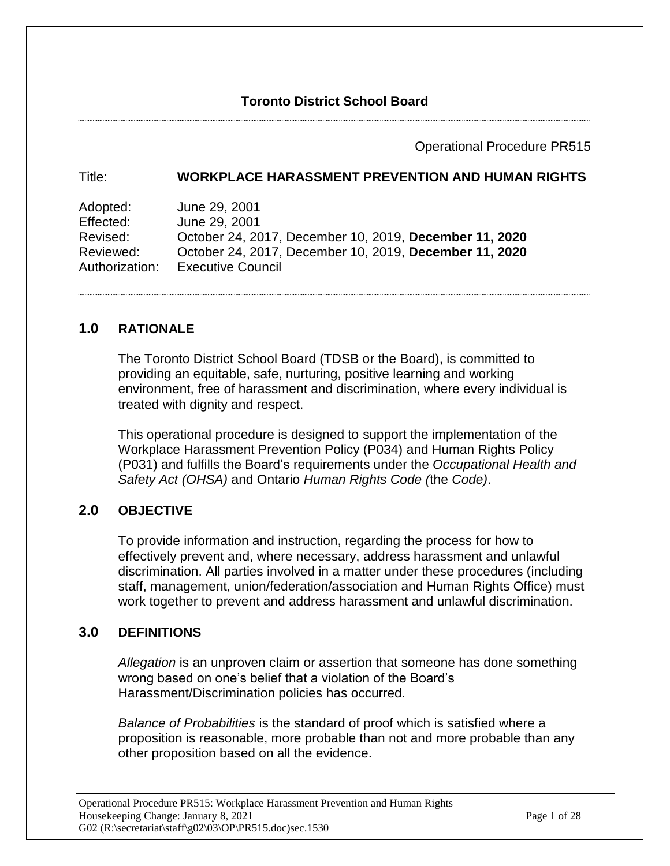### Operational Procedure PR515

### Title: **WORKPLACE HARASSMENT PREVENTION AND HUMAN RIGHTS**

Adopted: June 29, 2001 Effected: June 29, 2001 Revised: October 24, 2017, December 10, 2019, **December 11, 2020** Reviewed: October 24, 2017, December 10, 2019, **December 11, 2020** Authorization: Executive Council

## **1.0 RATIONALE**

The Toronto District School Board (TDSB or the Board), is committed to providing an equitable, safe, nurturing, positive learning and working environment, free of harassment and discrimination, where every individual is treated with dignity and respect.

This operational procedure is designed to support the implementation of the Workplace Harassment Prevention Policy (P034) and Human Rights Policy (P031) and fulfills the Board's requirements under the *Occupational Health and Safety Act (OHSA)* and Ontario *Human Rights Code (*the *Code)*.

## **2.0 OBJECTIVE**

To provide information and instruction, regarding the process for how to effectively prevent and, where necessary, address harassment and unlawful discrimination. All parties involved in a matter under these procedures (including staff, management, union/federation/association and Human Rights Office) must work together to prevent and address harassment and unlawful discrimination.

### **3.0 DEFINITIONS**

*Allegation* is an unproven claim or assertion that someone has done something wrong based on one's belief that a violation of the Board's Harassment/Discrimination policies has occurred.

*Balance of Probabilities* is the standard of proof which is satisfied where a proposition is reasonable, more probable than not and more probable than any other proposition based on all the evidence.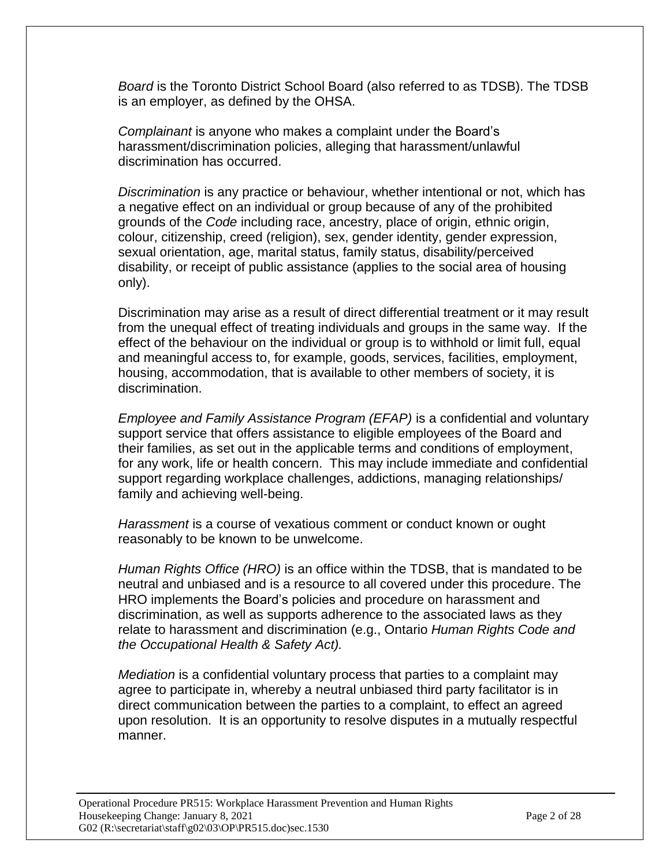*Board* is the Toronto District School Board (also referred to as TDSB). The TDSB is an employer, as defined by the OHSA.

*Complainant* is anyone who makes a complaint under the Board's harassment/discrimination policies, alleging that harassment/unlawful discrimination has occurred.

*Discrimination* is any practice or behaviour, whether intentional or not, which has a negative effect on an individual or group because of any of the prohibited grounds of the *Code* including race, ancestry, place of origin, ethnic origin, colour, citizenship, creed (religion), sex, gender identity, gender expression, sexual orientation, age, marital status, family status, disability/perceived disability, or receipt of public assistance (applies to the social area of housing only).

Discrimination may arise as a result of direct differential treatment or it may result from the unequal effect of treating individuals and groups in the same way. If the effect of the behaviour on the individual or group is to withhold or limit full, equal and meaningful access to, for example, goods, services, facilities, employment, housing, accommodation, that is available to other members of society, it is discrimination.

*Employee and Family Assistance Program (EFAP)* is a confidential and voluntary support service that offers assistance to eligible employees of the Board and their families, as set out in the applicable terms and conditions of employment, for any work, life or health concern. This may include immediate and confidential support regarding workplace challenges, addictions, managing relationships/ family and achieving well-being.

*Harassment* is a course of vexatious comment or conduct known or ought reasonably to be known to be unwelcome.

*Human Rights Office (HRO)* is an office within the TDSB, that is mandated to be neutral and unbiased and is a resource to all covered under this procedure. The HRO implements the Board's policies and procedure on harassment and discrimination, as well as supports adherence to the associated laws as they relate to harassment and discrimination (e.g., Ontario *Human Rights Code and the Occupational Health & Safety Act).*

*Mediation* is a confidential voluntary process that parties to a complaint may agree to participate in, whereby a neutral unbiased third party facilitator is in direct communication between the parties to a complaint, to effect an agreed upon resolution. It is an opportunity to resolve disputes in a mutually respectful manner.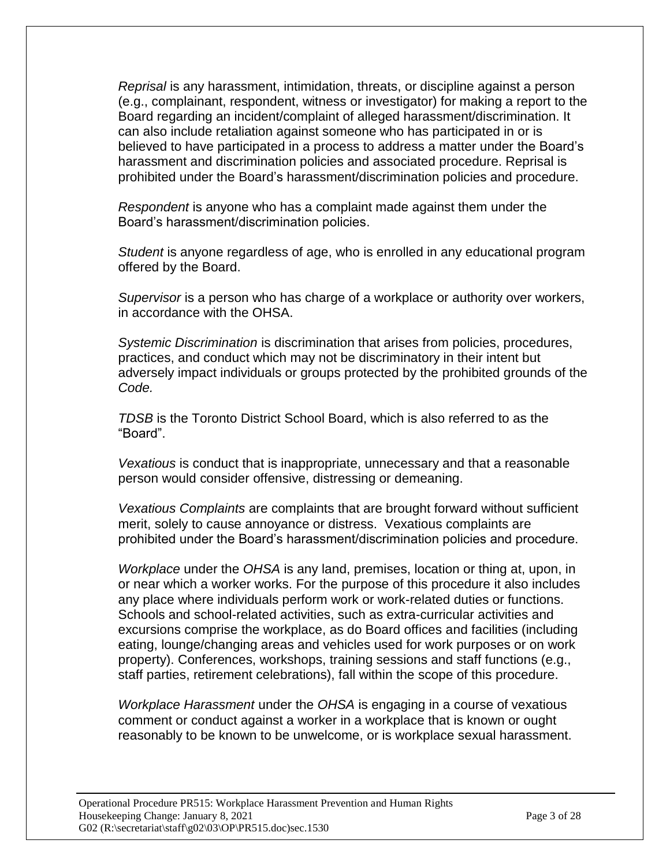*Reprisal* is any harassment, intimidation, threats, or discipline against a person (e.g., complainant, respondent, witness or investigator) for making a report to the Board regarding an incident/complaint of alleged harassment/discrimination. It can also include retaliation against someone who has participated in or is believed to have participated in a process to address a matter under the Board's harassment and discrimination policies and associated procedure. Reprisal is prohibited under the Board's harassment/discrimination policies and procedure.

*Respondent* is anyone who has a complaint made against them under the Board's harassment/discrimination policies.

*Student* is anyone regardless of age, who is enrolled in any educational program offered by the Board.

*Supervisor* is a person who has charge of a workplace or authority over workers, in accordance with the OHSA.

*Systemic Discrimination* is discrimination that arises from policies, procedures, practices, and conduct which may not be discriminatory in their intent but adversely impact individuals or groups protected by the prohibited grounds of the *Code.* 

*TDSB* is the Toronto District School Board, which is also referred to as the "Board".

*Vexatious* is conduct that is inappropriate, unnecessary and that a reasonable person would consider offensive, distressing or demeaning.

*Vexatious Complaints* are complaints that are brought forward without sufficient merit, solely to cause annoyance or distress. Vexatious complaints are prohibited under the Board's harassment/discrimination policies and procedure.

*Workplace* under the *OHSA* is any land, premises, location or thing at, upon, in or near which a worker works. For the purpose of this procedure it also includes any place where individuals perform work or work-related duties or functions. Schools and school-related activities, such as extra-curricular activities and excursions comprise the workplace, as do Board offices and facilities (including eating, lounge/changing areas and vehicles used for work purposes or on work property). Conferences, workshops, training sessions and staff functions (e.g., staff parties, retirement celebrations), fall within the scope of this procedure.

*Workplace Harassment* under the *OHSA* is engaging in a course of vexatious comment or conduct against a worker in a workplace that is known or ought reasonably to be known to be unwelcome, or is workplace sexual harassment.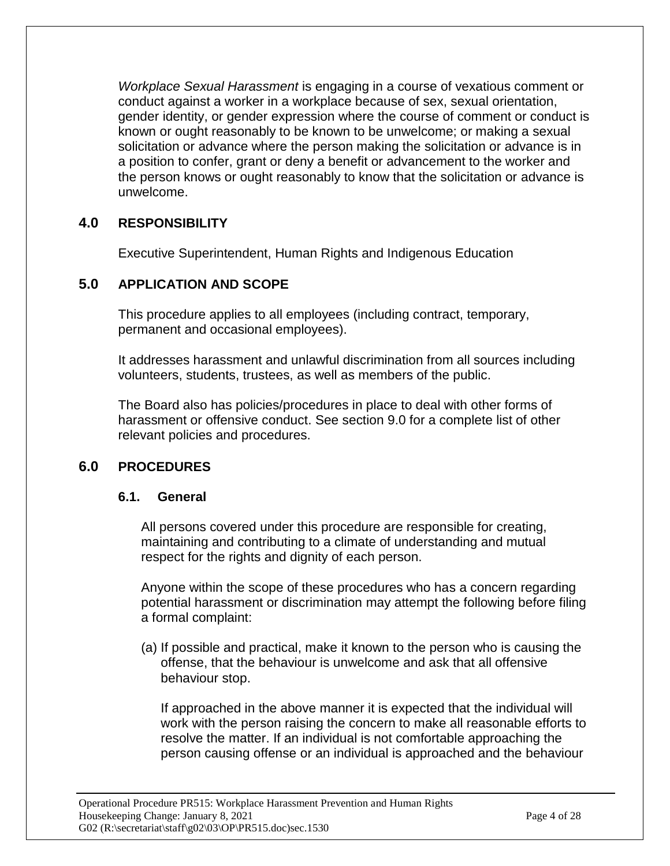*Workplace Sexual Harassment* is engaging in a course of vexatious comment or conduct against a worker in a workplace because of sex, sexual orientation, gender identity, or gender expression where the course of comment or conduct is known or ought reasonably to be known to be unwelcome; or making a sexual solicitation or advance where the person making the solicitation or advance is in a position to confer, grant or deny a benefit or advancement to the worker and the person knows or ought reasonably to know that the solicitation or advance is unwelcome.

# **4.0 RESPONSIBILITY**

Executive Superintendent, Human Rights and Indigenous Education

# **5.0 APPLICATION AND SCOPE**

This procedure applies to all employees (including contract, temporary, permanent and occasional employees).

It addresses harassment and unlawful discrimination from all sources including volunteers, students, trustees, as well as members of the public.

The Board also has policies/procedures in place to deal with other forms of harassment or offensive conduct. See section 9.0 for a complete list of other relevant policies and procedures.

# **6.0 PROCEDURES**

### **6.1. General**

All persons covered under this procedure are responsible for creating, maintaining and contributing to a climate of understanding and mutual respect for the rights and dignity of each person.

Anyone within the scope of these procedures who has a concern regarding potential harassment or discrimination may attempt the following before filing a formal complaint:

(a) If possible and practical, make it known to the person who is causing the offense, that the behaviour is unwelcome and ask that all offensive behaviour stop.

If approached in the above manner it is expected that the individual will work with the person raising the concern to make all reasonable efforts to resolve the matter. If an individual is not comfortable approaching the person causing offense or an individual is approached and the behaviour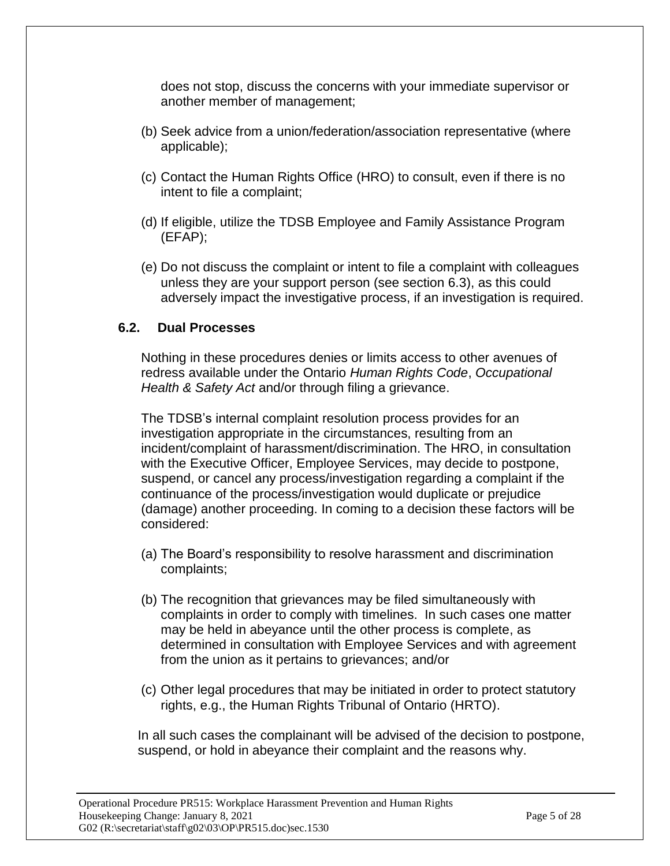does not stop, discuss the concerns with your immediate supervisor or another member of management;

- (b) Seek advice from a union/federation/association representative (where applicable);
- (c) Contact the Human Rights Office (HRO) to consult, even if there is no intent to file a complaint;
- (d) If eligible, utilize the TDSB Employee and Family Assistance Program (EFAP);
- (e) Do not discuss the complaint or intent to file a complaint with colleagues unless they are your support person (see section 6.3), as this could adversely impact the investigative process, if an investigation is required.

## **6.2. Dual Processes**

Nothing in these procedures denies or limits access to other avenues of redress available under the Ontario *Human Rights Code*, *Occupational Health & Safety Act* and/or through filing a grievance.

The TDSB's internal complaint resolution process provides for an investigation appropriate in the circumstances, resulting from an incident/complaint of harassment/discrimination. The HRO, in consultation with the Executive Officer, Employee Services, may decide to postpone, suspend, or cancel any process/investigation regarding a complaint if the continuance of the process/investigation would duplicate or prejudice (damage) another proceeding. In coming to a decision these factors will be considered:

- (a) The Board's responsibility to resolve harassment and discrimination complaints;
- (b) The recognition that grievances may be filed simultaneously with complaints in order to comply with timelines. In such cases one matter may be held in abeyance until the other process is complete, as determined in consultation with Employee Services and with agreement from the union as it pertains to grievances; and/or
- (c) Other legal procedures that may be initiated in order to protect statutory rights, e.g., the Human Rights Tribunal of Ontario (HRTO).

In all such cases the complainant will be advised of the decision to postpone, suspend, or hold in abeyance their complaint and the reasons why.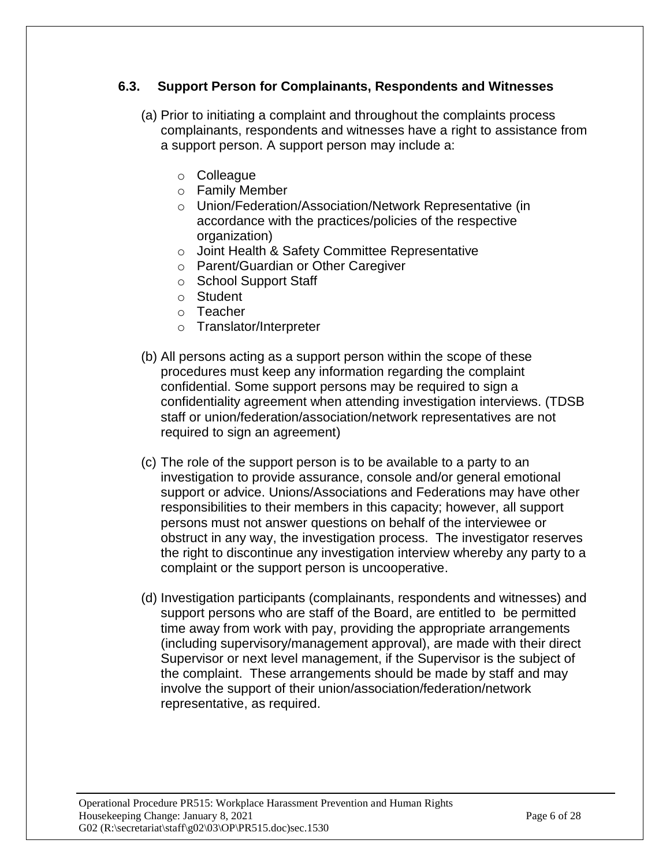## **6.3. Support Person for Complainants, Respondents and Witnesses**

- (a) Prior to initiating a complaint and throughout the complaints process complainants, respondents and witnesses have a right to assistance from a support person. A support person may include a:
	- o Colleague
	- o Family Member
	- o Union/Federation/Association/Network Representative (in accordance with the practices/policies of the respective organization)
	- o Joint Health & Safety Committee Representative
	- o Parent/Guardian or Other Caregiver
	- o School Support Staff
	- o Student
	- o Teacher
	- o Translator/Interpreter
- (b) All persons acting as a support person within the scope of these procedures must keep any information regarding the complaint confidential. Some support persons may be required to sign a confidentiality agreement when attending investigation interviews. (TDSB staff or union/federation/association/network representatives are not required to sign an agreement)
- (c) The role of the support person is to be available to a party to an investigation to provide assurance, console and/or general emotional support or advice. Unions/Associations and Federations may have other responsibilities to their members in this capacity; however, all support persons must not answer questions on behalf of the interviewee or obstruct in any way, the investigation process. The investigator reserves the right to discontinue any investigation interview whereby any party to a complaint or the support person is uncooperative.
- (d) Investigation participants (complainants, respondents and witnesses) and support persons who are staff of the Board, are entitled to be permitted time away from work with pay, providing the appropriate arrangements (including supervisory/management approval), are made with their direct Supervisor or next level management, if the Supervisor is the subject of the complaint. These arrangements should be made by staff and may involve the support of their union/association/federation/network representative, as required.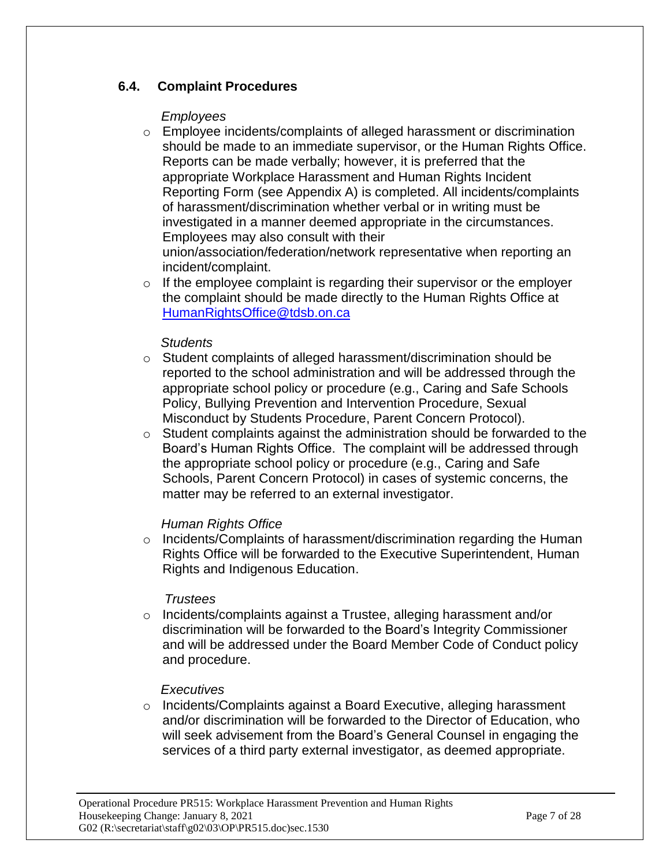## **6.4. Complaint Procedures**

### *Employees*

- o Employee incidents/complaints of alleged harassment or discrimination should be made to an immediate supervisor, or the Human Rights Office. Reports can be made verbally; however, it is preferred that the appropriate Workplace Harassment and Human Rights Incident Reporting Form (see Appendix A) is completed. All incidents/complaints of harassment/discrimination whether verbal or in writing must be investigated in a manner deemed appropriate in the circumstances. Employees may also consult with their union/association/federation/network representative when reporting an incident/complaint.
- $\circ$  If the employee complaint is regarding their supervisor or the employer the complaint should be made directly to the Human Rights Office at [HumanRightsOffice@tdsb.on.ca](mailto:HumanRightsOffice@tdsb.on.ca)

## *Students*

- $\circ$  Student complaints of alleged harassment/discrimination should be reported to the school administration and will be addressed through the appropriate school policy or procedure (e.g., Caring and Safe Schools Policy, Bullying Prevention and Intervention Procedure, Sexual Misconduct by Students Procedure, Parent Concern Protocol).
- o Student complaints against the administration should be forwarded to the Board's Human Rights Office. The complaint will be addressed through the appropriate school policy or procedure (e.g., Caring and Safe Schools, Parent Concern Protocol) in cases of systemic concerns, the matter may be referred to an external investigator.

## *Human Rights Office*

o Incidents/Complaints of harassment/discrimination regarding the Human Rights Office will be forwarded to the Executive Superintendent, Human Rights and Indigenous Education.

### *Trustees*

 $\circ$  Incidents/complaints against a Trustee, alleging harassment and/or discrimination will be forwarded to the Board's Integrity Commissioner and will be addressed under the Board Member Code of Conduct policy and procedure.

### *Executives*

 $\circ$  Incidents/Complaints against a Board Executive, alleging harassment and/or discrimination will be forwarded to the Director of Education, who will seek advisement from the Board's General Counsel in engaging the services of a third party external investigator, as deemed appropriate.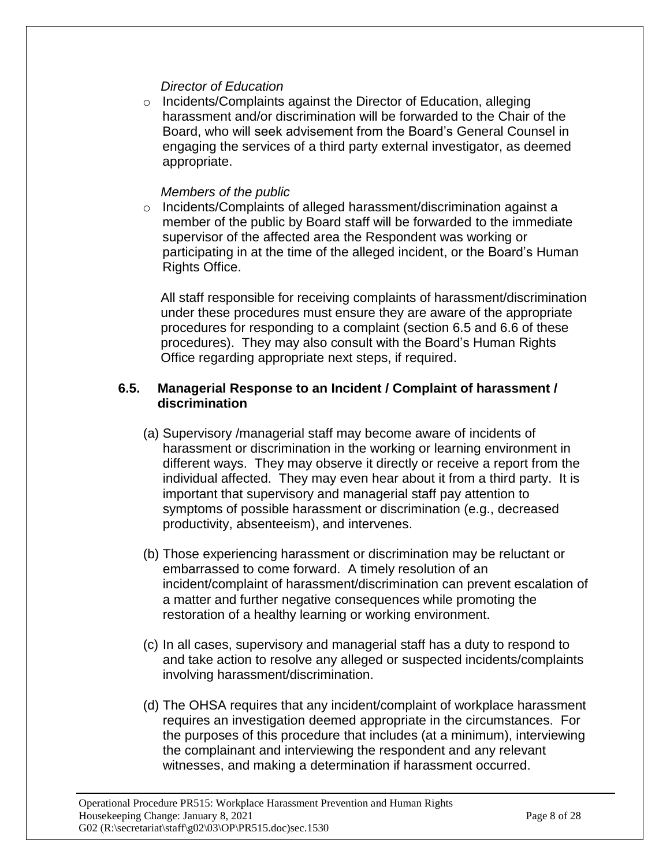### *Director of Education*

o Incidents/Complaints against the Director of Education, alleging harassment and/or discrimination will be forwarded to the Chair of the Board, who will seek advisement from the Board's General Counsel in engaging the services of a third party external investigator, as deemed appropriate.

#### *Members of the public*

o Incidents/Complaints of alleged harassment/discrimination against a member of the public by Board staff will be forwarded to the immediate supervisor of the affected area the Respondent was working or participating in at the time of the alleged incident, or the Board's Human Rights Office.

All staff responsible for receiving complaints of harassment/discrimination under these procedures must ensure they are aware of the appropriate procedures for responding to a complaint (section 6.5 and 6.6 of these procedures). They may also consult with the Board's Human Rights Office regarding appropriate next steps, if required.

#### **6.5. Managerial Response to an Incident / Complaint of harassment / discrimination**

- (a) Supervisory /managerial staff may become aware of incidents of harassment or discrimination in the working or learning environment in different ways. They may observe it directly or receive a report from the individual affected. They may even hear about it from a third party. It is important that supervisory and managerial staff pay attention to symptoms of possible harassment or discrimination (e.g., decreased productivity, absenteeism), and intervenes.
- (b) Those experiencing harassment or discrimination may be reluctant or embarrassed to come forward. A timely resolution of an incident/complaint of harassment/discrimination can prevent escalation of a matter and further negative consequences while promoting the restoration of a healthy learning or working environment.
- (c) In all cases, supervisory and managerial staff has a duty to respond to and take action to resolve any alleged or suspected incidents/complaints involving harassment/discrimination.
- (d) The OHSA requires that any incident/complaint of workplace harassment requires an investigation deemed appropriate in the circumstances. For the purposes of this procedure that includes (at a minimum), interviewing the complainant and interviewing the respondent and any relevant witnesses, and making a determination if harassment occurred.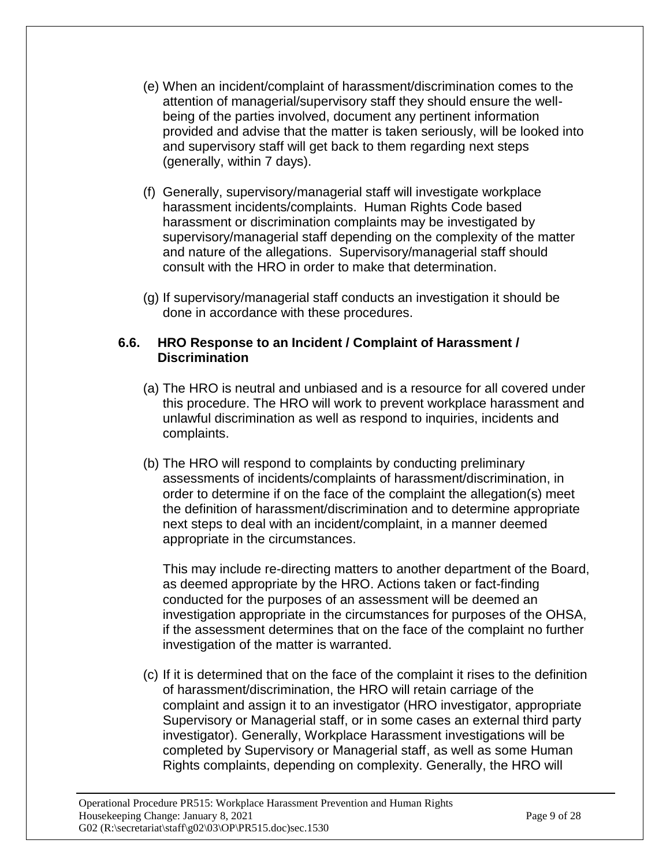- (e) When an incident/complaint of harassment/discrimination comes to the attention of managerial/supervisory staff they should ensure the wellbeing of the parties involved, document any pertinent information provided and advise that the matter is taken seriously, will be looked into and supervisory staff will get back to them regarding next steps (generally, within 7 days).
- (f) Generally, supervisory/managerial staff will investigate workplace harassment incidents/complaints. Human Rights Code based harassment or discrimination complaints may be investigated by supervisory/managerial staff depending on the complexity of the matter and nature of the allegations. Supervisory/managerial staff should consult with the HRO in order to make that determination.
- (g) If supervisory/managerial staff conducts an investigation it should be done in accordance with these procedures.

### **6.6. HRO Response to an Incident / Complaint of Harassment / Discrimination**

- (a) The HRO is neutral and unbiased and is a resource for all covered under this procedure. The HRO will work to prevent workplace harassment and unlawful discrimination as well as respond to inquiries, incidents and complaints.
- (b) The HRO will respond to complaints by conducting preliminary assessments of incidents/complaints of harassment/discrimination, in order to determine if on the face of the complaint the allegation(s) meet the definition of harassment/discrimination and to determine appropriate next steps to deal with an incident/complaint, in a manner deemed appropriate in the circumstances.

This may include re-directing matters to another department of the Board, as deemed appropriate by the HRO. Actions taken or fact-finding conducted for the purposes of an assessment will be deemed an investigation appropriate in the circumstances for purposes of the OHSA, if the assessment determines that on the face of the complaint no further investigation of the matter is warranted.

(c) If it is determined that on the face of the complaint it rises to the definition of harassment/discrimination, the HRO will retain carriage of the complaint and assign it to an investigator (HRO investigator, appropriate Supervisory or Managerial staff, or in some cases an external third party investigator). Generally, Workplace Harassment investigations will be completed by Supervisory or Managerial staff, as well as some Human Rights complaints, depending on complexity. Generally, the HRO will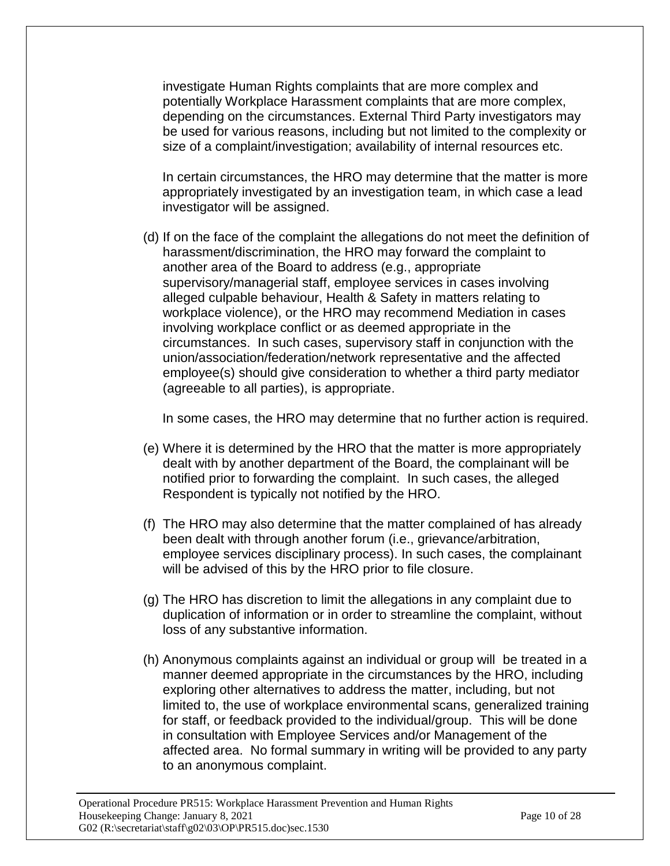investigate Human Rights complaints that are more complex and potentially Workplace Harassment complaints that are more complex, depending on the circumstances. External Third Party investigators may be used for various reasons, including but not limited to the complexity or size of a complaint/investigation; availability of internal resources etc.

In certain circumstances, the HRO may determine that the matter is more appropriately investigated by an investigation team, in which case a lead investigator will be assigned.

(d) If on the face of the complaint the allegations do not meet the definition of harassment/discrimination, the HRO may forward the complaint to another area of the Board to address (e.g., appropriate supervisory/managerial staff, employee services in cases involving alleged culpable behaviour, Health & Safety in matters relating to workplace violence), or the HRO may recommend Mediation in cases involving workplace conflict or as deemed appropriate in the circumstances. In such cases, supervisory staff in conjunction with the union/association/federation/network representative and the affected employee(s) should give consideration to whether a third party mediator (agreeable to all parties), is appropriate.

In some cases, the HRO may determine that no further action is required.

- (e) Where it is determined by the HRO that the matter is more appropriately dealt with by another department of the Board, the complainant will be notified prior to forwarding the complaint. In such cases, the alleged Respondent is typically not notified by the HRO.
- (f) The HRO may also determine that the matter complained of has already been dealt with through another forum (i.e., grievance/arbitration, employee services disciplinary process). In such cases, the complainant will be advised of this by the HRO prior to file closure.
- (g) The HRO has discretion to limit the allegations in any complaint due to duplication of information or in order to streamline the complaint, without loss of any substantive information.
- (h) Anonymous complaints against an individual or group will be treated in a manner deemed appropriate in the circumstances by the HRO, including exploring other alternatives to address the matter, including, but not limited to, the use of workplace environmental scans, generalized training for staff, or feedback provided to the individual/group. This will be done in consultation with Employee Services and/or Management of the affected area. No formal summary in writing will be provided to any party to an anonymous complaint.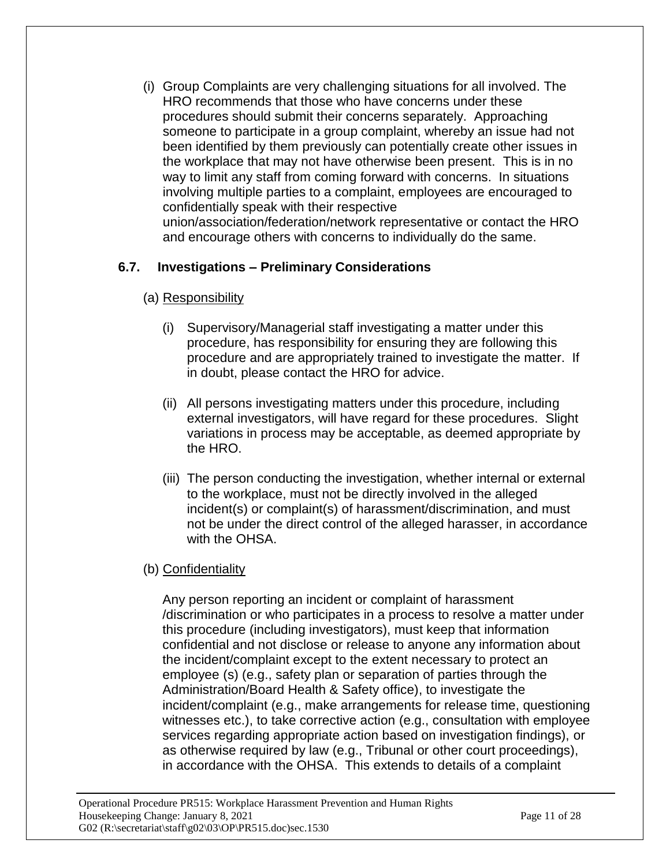(i) Group Complaints are very challenging situations for all involved. The HRO recommends that those who have concerns under these procedures should submit their concerns separately. Approaching someone to participate in a group complaint, whereby an issue had not been identified by them previously can potentially create other issues in the workplace that may not have otherwise been present. This is in no way to limit any staff from coming forward with concerns. In situations involving multiple parties to a complaint, employees are encouraged to confidentially speak with their respective union/association/federation/network representative or contact the HRO and encourage others with concerns to individually do the same.

# **6.7. Investigations – Preliminary Considerations**

- (a) Responsibility
	- (i) Supervisory/Managerial staff investigating a matter under this procedure, has responsibility for ensuring they are following this procedure and are appropriately trained to investigate the matter. If in doubt, please contact the HRO for advice.
	- (ii) All persons investigating matters under this procedure, including external investigators, will have regard for these procedures. Slight variations in process may be acceptable, as deemed appropriate by the HRO.
	- (iii) The person conducting the investigation, whether internal or external to the workplace, must not be directly involved in the alleged incident(s) or complaint(s) of harassment/discrimination, and must not be under the direct control of the alleged harasser, in accordance with the OHSA.

## (b) Confidentiality

Any person reporting an incident or complaint of harassment /discrimination or who participates in a process to resolve a matter under this procedure (including investigators), must keep that information confidential and not disclose or release to anyone any information about the incident/complaint except to the extent necessary to protect an employee (s) (e.g., safety plan or separation of parties through the Administration/Board Health & Safety office), to investigate the incident/complaint (e.g., make arrangements for release time, questioning witnesses etc.), to take corrective action (e.g., consultation with employee services regarding appropriate action based on investigation findings), or as otherwise required by law (e.g., Tribunal or other court proceedings), in accordance with the OHSA. This extends to details of a complaint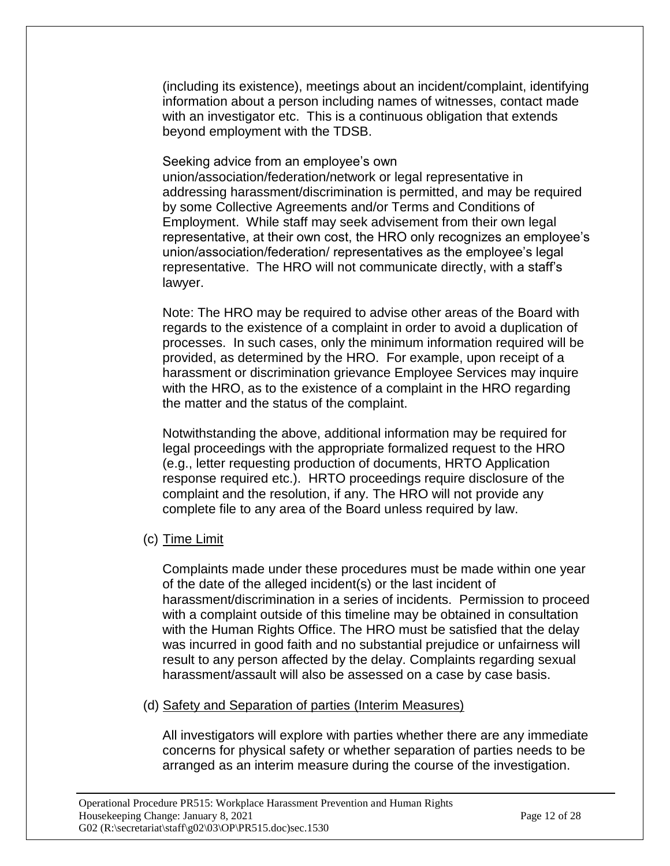(including its existence), meetings about an incident/complaint, identifying information about a person including names of witnesses, contact made with an investigator etc. This is a continuous obligation that extends beyond employment with the TDSB.

Seeking advice from an employee's own

union/association/federation/network or legal representative in addressing harassment/discrimination is permitted, and may be required by some Collective Agreements and/or Terms and Conditions of Employment. While staff may seek advisement from their own legal representative, at their own cost, the HRO only recognizes an employee's union/association/federation/ representatives as the employee's legal representative. The HRO will not communicate directly, with a staff's lawyer.

Note: The HRO may be required to advise other areas of the Board with regards to the existence of a complaint in order to avoid a duplication of processes. In such cases, only the minimum information required will be provided, as determined by the HRO. For example, upon receipt of a harassment or discrimination grievance Employee Services may inquire with the HRO, as to the existence of a complaint in the HRO regarding the matter and the status of the complaint.

Notwithstanding the above, additional information may be required for legal proceedings with the appropriate formalized request to the HRO (e.g., letter requesting production of documents, HRTO Application response required etc.). HRTO proceedings require disclosure of the complaint and the resolution, if any. The HRO will not provide any complete file to any area of the Board unless required by law.

(c) Time Limit

Complaints made under these procedures must be made within one year of the date of the alleged incident(s) or the last incident of harassment/discrimination in a series of incidents. Permission to proceed with a complaint outside of this timeline may be obtained in consultation with the Human Rights Office. The HRO must be satisfied that the delay was incurred in good faith and no substantial prejudice or unfairness will result to any person affected by the delay. Complaints regarding sexual harassment/assault will also be assessed on a case by case basis.

(d) Safety and Separation of parties (Interim Measures)

All investigators will explore with parties whether there are any immediate concerns for physical safety or whether separation of parties needs to be arranged as an interim measure during the course of the investigation.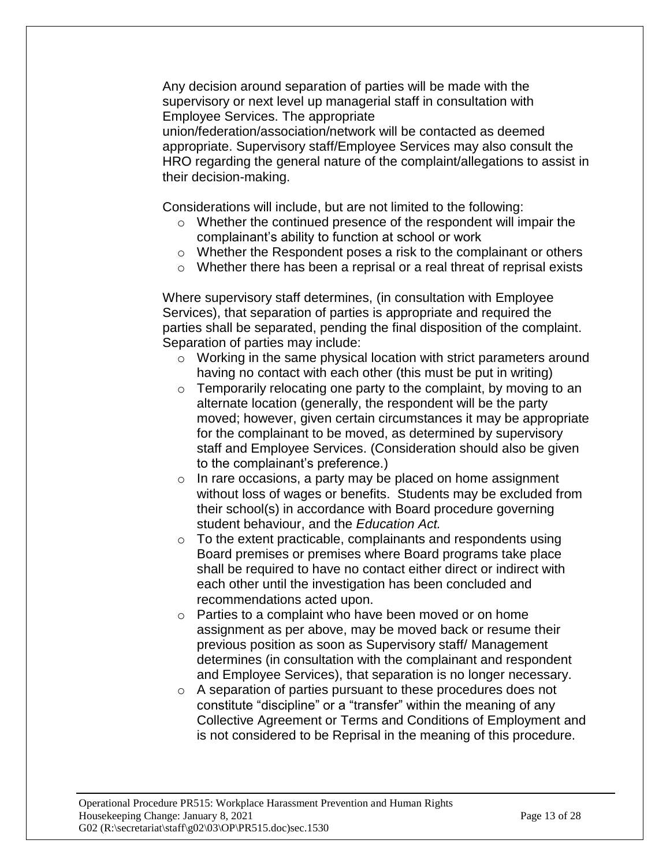Any decision around separation of parties will be made with the supervisory or next level up managerial staff in consultation with Employee Services. The appropriate

union/federation/association/network will be contacted as deemed appropriate. Supervisory staff/Employee Services may also consult the HRO regarding the general nature of the complaint/allegations to assist in their decision-making.

Considerations will include, but are not limited to the following:

- o Whether the continued presence of the respondent will impair the complainant's ability to function at school or work
- o Whether the Respondent poses a risk to the complainant or others
- o Whether there has been a reprisal or a real threat of reprisal exists

Where supervisory staff determines, (in consultation with Employee Services), that separation of parties is appropriate and required the parties shall be separated, pending the final disposition of the complaint. Separation of parties may include:

- o Working in the same physical location with strict parameters around having no contact with each other (this must be put in writing)
- $\circ$  Temporarily relocating one party to the complaint, by moving to an alternate location (generally, the respondent will be the party moved; however, given certain circumstances it may be appropriate for the complainant to be moved, as determined by supervisory staff and Employee Services. (Consideration should also be given to the complainant's preference.)
- o In rare occasions, a party may be placed on home assignment without loss of wages or benefits. Students may be excluded from their school(s) in accordance with Board procedure governing student behaviour, and the *Education Act.*
- o To the extent practicable, complainants and respondents using Board premises or premises where Board programs take place shall be required to have no contact either direct or indirect with each other until the investigation has been concluded and recommendations acted upon.
- o Parties to a complaint who have been moved or on home assignment as per above, may be moved back or resume their previous position as soon as Supervisory staff/ Management determines (in consultation with the complainant and respondent and Employee Services), that separation is no longer necessary.
- o A separation of parties pursuant to these procedures does not constitute "discipline" or a "transfer" within the meaning of any Collective Agreement or Terms and Conditions of Employment and is not considered to be Reprisal in the meaning of this procedure.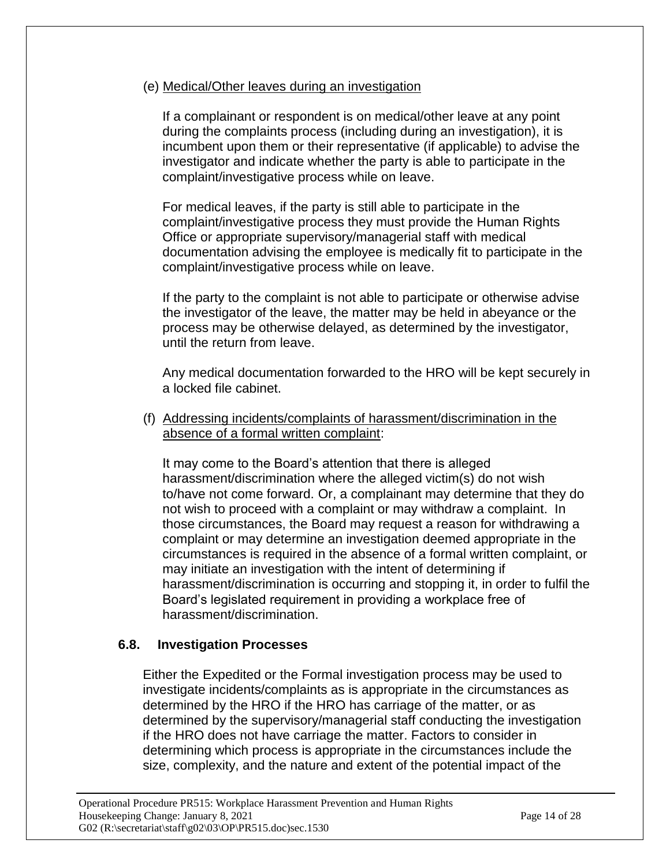## (e) Medical/Other leaves during an investigation

If a complainant or respondent is on medical/other leave at any point during the complaints process (including during an investigation), it is incumbent upon them or their representative (if applicable) to advise the investigator and indicate whether the party is able to participate in the complaint/investigative process while on leave.

For medical leaves, if the party is still able to participate in the complaint/investigative process they must provide the Human Rights Office or appropriate supervisory/managerial staff with medical documentation advising the employee is medically fit to participate in the complaint/investigative process while on leave.

If the party to the complaint is not able to participate or otherwise advise the investigator of the leave, the matter may be held in abeyance or the process may be otherwise delayed, as determined by the investigator, until the return from leave.

Any medical documentation forwarded to the HRO will be kept securely in a locked file cabinet.

(f) Addressing incidents/complaints of harassment/discrimination in the absence of a formal written complaint:

It may come to the Board's attention that there is alleged harassment/discrimination where the alleged victim(s) do not wish to/have not come forward. Or, a complainant may determine that they do not wish to proceed with a complaint or may withdraw a complaint. In those circumstances, the Board may request a reason for withdrawing a complaint or may determine an investigation deemed appropriate in the circumstances is required in the absence of a formal written complaint, or may initiate an investigation with the intent of determining if harassment/discrimination is occurring and stopping it, in order to fulfil the Board's legislated requirement in providing a workplace free of harassment/discrimination.

## **6.8. Investigation Processes**

Either the Expedited or the Formal investigation process may be used to investigate incidents/complaints as is appropriate in the circumstances as determined by the HRO if the HRO has carriage of the matter, or as determined by the supervisory/managerial staff conducting the investigation if the HRO does not have carriage the matter. Factors to consider in determining which process is appropriate in the circumstances include the size, complexity, and the nature and extent of the potential impact of the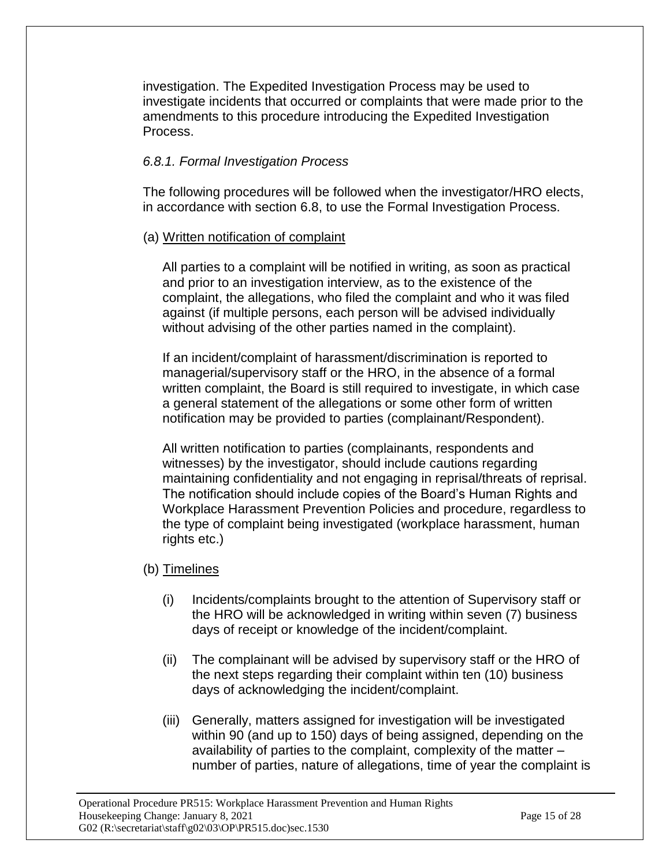investigation. The Expedited Investigation Process may be used to investigate incidents that occurred or complaints that were made prior to the amendments to this procedure introducing the Expedited Investigation Process.

## *6.8.1. Formal Investigation Process*

The following procedures will be followed when the investigator/HRO elects, in accordance with section 6.8, to use the Formal Investigation Process.

## (a) Written notification of complaint

All parties to a complaint will be notified in writing, as soon as practical and prior to an investigation interview, as to the existence of the complaint, the allegations, who filed the complaint and who it was filed against (if multiple persons, each person will be advised individually without advising of the other parties named in the complaint).

If an incident/complaint of harassment/discrimination is reported to managerial/supervisory staff or the HRO, in the absence of a formal written complaint, the Board is still required to investigate, in which case a general statement of the allegations or some other form of written notification may be provided to parties (complainant/Respondent).

All written notification to parties (complainants, respondents and witnesses) by the investigator, should include cautions regarding maintaining confidentiality and not engaging in reprisal/threats of reprisal. The notification should include copies of the Board's Human Rights and Workplace Harassment Prevention Policies and procedure, regardless to the type of complaint being investigated (workplace harassment, human rights etc.)

## (b) Timelines

- (i) Incidents/complaints brought to the attention of Supervisory staff or the HRO will be acknowledged in writing within seven (7) business days of receipt or knowledge of the incident/complaint.
- (ii) The complainant will be advised by supervisory staff or the HRO of the next steps regarding their complaint within ten (10) business days of acknowledging the incident/complaint.
- (iii) Generally, matters assigned for investigation will be investigated within 90 (and up to 150) days of being assigned, depending on the availability of parties to the complaint, complexity of the matter – number of parties, nature of allegations, time of year the complaint is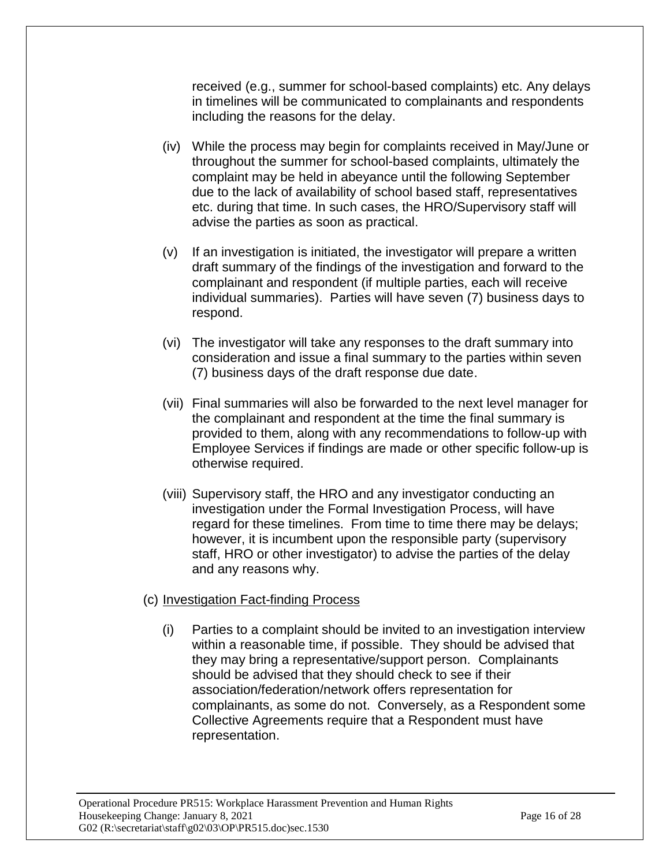received (e.g., summer for school-based complaints) etc. Any delays in timelines will be communicated to complainants and respondents including the reasons for the delay.

- (iv) While the process may begin for complaints received in May/June or throughout the summer for school-based complaints, ultimately the complaint may be held in abeyance until the following September due to the lack of availability of school based staff, representatives etc. during that time. In such cases, the HRO/Supervisory staff will advise the parties as soon as practical.
- (v) If an investigation is initiated, the investigator will prepare a written draft summary of the findings of the investigation and forward to the complainant and respondent (if multiple parties, each will receive individual summaries). Parties will have seven (7) business days to respond.
- (vi) The investigator will take any responses to the draft summary into consideration and issue a final summary to the parties within seven (7) business days of the draft response due date.
- (vii) Final summaries will also be forwarded to the next level manager for the complainant and respondent at the time the final summary is provided to them, along with any recommendations to follow-up with Employee Services if findings are made or other specific follow-up is otherwise required.
- (viii) Supervisory staff, the HRO and any investigator conducting an investigation under the Formal Investigation Process, will have regard for these timelines. From time to time there may be delays; however, it is incumbent upon the responsible party (supervisory staff, HRO or other investigator) to advise the parties of the delay and any reasons why.

### (c) Investigation Fact-finding Process

(i) Parties to a complaint should be invited to an investigation interview within a reasonable time, if possible. They should be advised that they may bring a representative/support person. Complainants should be advised that they should check to see if their association/federation/network offers representation for complainants, as some do not. Conversely, as a Respondent some Collective Agreements require that a Respondent must have representation.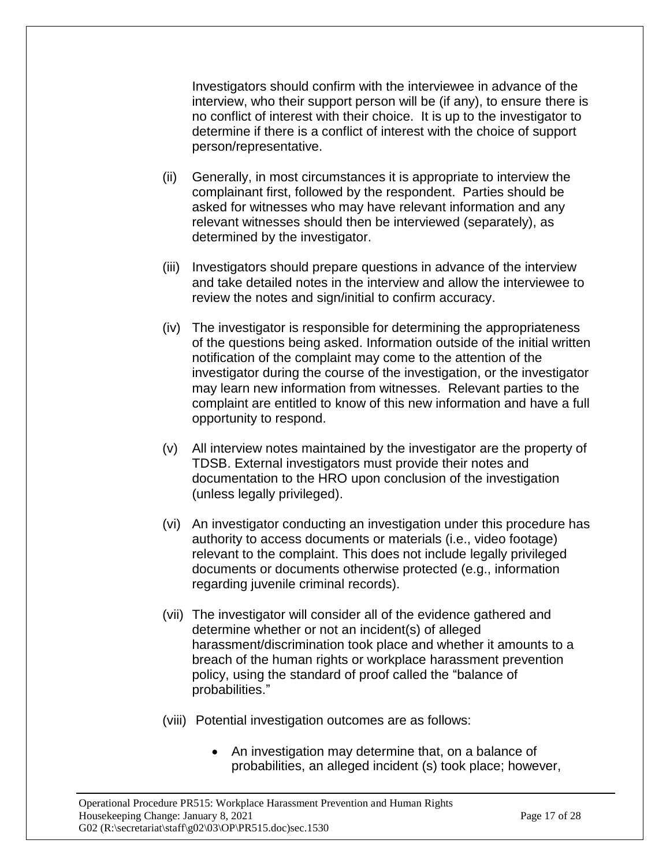Investigators should confirm with the interviewee in advance of the interview, who their support person will be (if any), to ensure there is no conflict of interest with their choice. It is up to the investigator to determine if there is a conflict of interest with the choice of support person/representative.

- (ii) Generally, in most circumstances it is appropriate to interview the complainant first, followed by the respondent. Parties should be asked for witnesses who may have relevant information and any relevant witnesses should then be interviewed (separately), as determined by the investigator.
- (iii) Investigators should prepare questions in advance of the interview and take detailed notes in the interview and allow the interviewee to review the notes and sign/initial to confirm accuracy.
- (iv) The investigator is responsible for determining the appropriateness of the questions being asked. Information outside of the initial written notification of the complaint may come to the attention of the investigator during the course of the investigation, or the investigator may learn new information from witnesses. Relevant parties to the complaint are entitled to know of this new information and have a full opportunity to respond.
- (v) All interview notes maintained by the investigator are the property of TDSB. External investigators must provide their notes and documentation to the HRO upon conclusion of the investigation (unless legally privileged).
- (vi) An investigator conducting an investigation under this procedure has authority to access documents or materials (i.e., video footage) relevant to the complaint. This does not include legally privileged documents or documents otherwise protected (e.g., information regarding juvenile criminal records).
- (vii) The investigator will consider all of the evidence gathered and determine whether or not an incident(s) of alleged harassment/discrimination took place and whether it amounts to a breach of the human rights or workplace harassment prevention policy, using the standard of proof called the "balance of probabilities."
- (viii) Potential investigation outcomes are as follows:
	- An investigation may determine that, on a balance of probabilities, an alleged incident (s) took place; however,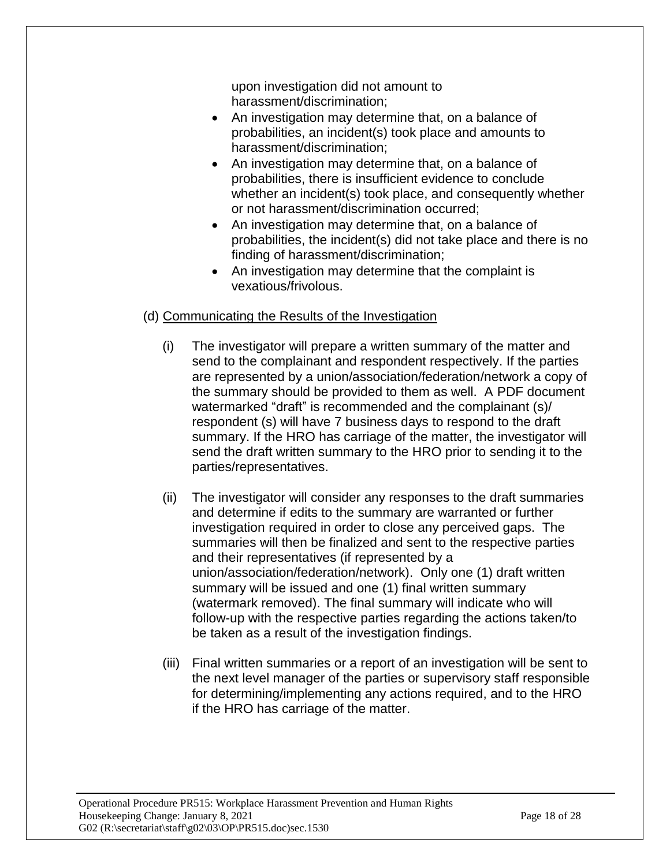upon investigation did not amount to harassment/discrimination;

- An investigation may determine that, on a balance of probabilities, an incident(s) took place and amounts to harassment/discrimination;
- An investigation may determine that, on a balance of probabilities, there is insufficient evidence to conclude whether an incident(s) took place, and consequently whether or not harassment/discrimination occurred;
- An investigation may determine that, on a balance of probabilities, the incident(s) did not take place and there is no finding of harassment/discrimination;
- An investigation may determine that the complaint is vexatious/frivolous.

## (d) Communicating the Results of the Investigation

- (i) The investigator will prepare a written summary of the matter and send to the complainant and respondent respectively. If the parties are represented by a union/association/federation/network a copy of the summary should be provided to them as well. A PDF document watermarked "draft" is recommended and the complainant (s)/ respondent (s) will have 7 business days to respond to the draft summary. If the HRO has carriage of the matter, the investigator will send the draft written summary to the HRO prior to sending it to the parties/representatives.
- (ii) The investigator will consider any responses to the draft summaries and determine if edits to the summary are warranted or further investigation required in order to close any perceived gaps. The summaries will then be finalized and sent to the respective parties and their representatives (if represented by a union/association/federation/network). Only one (1) draft written summary will be issued and one (1) final written summary (watermark removed). The final summary will indicate who will follow-up with the respective parties regarding the actions taken/to be taken as a result of the investigation findings.
- (iii) Final written summaries or a report of an investigation will be sent to the next level manager of the parties or supervisory staff responsible for determining/implementing any actions required, and to the HRO if the HRO has carriage of the matter.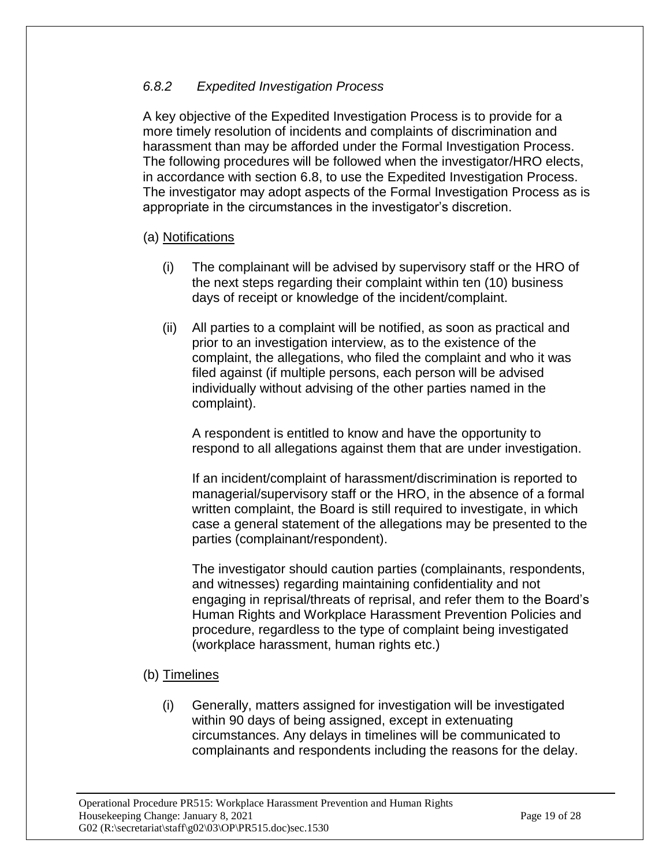## *6.8.2 Expedited Investigation Process*

A key objective of the Expedited Investigation Process is to provide for a more timely resolution of incidents and complaints of discrimination and harassment than may be afforded under the Formal Investigation Process. The following procedures will be followed when the investigator/HRO elects, in accordance with section 6.8, to use the Expedited Investigation Process. The investigator may adopt aspects of the Formal Investigation Process as is appropriate in the circumstances in the investigator's discretion.

## (a) Notifications

- (i) The complainant will be advised by supervisory staff or the HRO of the next steps regarding their complaint within ten (10) business days of receipt or knowledge of the incident/complaint.
- (ii) All parties to a complaint will be notified, as soon as practical and prior to an investigation interview, as to the existence of the complaint, the allegations, who filed the complaint and who it was filed against (if multiple persons, each person will be advised individually without advising of the other parties named in the complaint).

A respondent is entitled to know and have the opportunity to respond to all allegations against them that are under investigation.

If an incident/complaint of harassment/discrimination is reported to managerial/supervisory staff or the HRO, in the absence of a formal written complaint, the Board is still required to investigate, in which case a general statement of the allegations may be presented to the parties (complainant/respondent).

The investigator should caution parties (complainants, respondents, and witnesses) regarding maintaining confidentiality and not engaging in reprisal/threats of reprisal, and refer them to the Board's Human Rights and Workplace Harassment Prevention Policies and procedure, regardless to the type of complaint being investigated (workplace harassment, human rights etc.)

## (b) Timelines

(i) Generally, matters assigned for investigation will be investigated within 90 days of being assigned, except in extenuating circumstances. Any delays in timelines will be communicated to complainants and respondents including the reasons for the delay.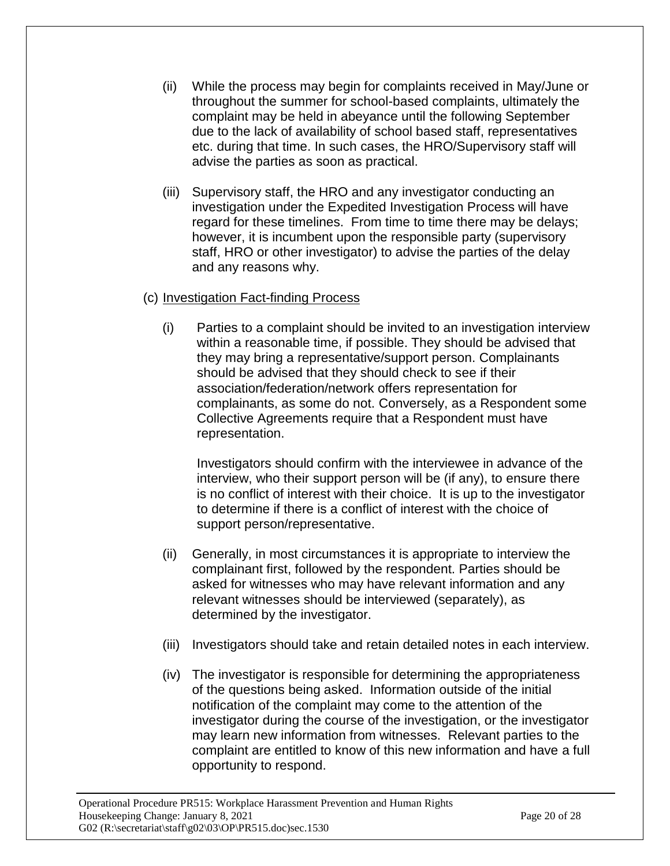- (ii) While the process may begin for complaints received in May/June or throughout the summer for school-based complaints, ultimately the complaint may be held in abeyance until the following September due to the lack of availability of school based staff, representatives etc. during that time. In such cases, the HRO/Supervisory staff will advise the parties as soon as practical.
- (iii) Supervisory staff, the HRO and any investigator conducting an investigation under the Expedited Investigation Process will have regard for these timelines. From time to time there may be delays; however, it is incumbent upon the responsible party (supervisory staff, HRO or other investigator) to advise the parties of the delay and any reasons why.

## (c) Investigation Fact-finding Process

(i) Parties to a complaint should be invited to an investigation interview within a reasonable time, if possible. They should be advised that they may bring a representative/support person. Complainants should be advised that they should check to see if their association/federation/network offers representation for complainants, as some do not. Conversely, as a Respondent some Collective Agreements require that a Respondent must have representation.

Investigators should confirm with the interviewee in advance of the interview, who their support person will be (if any), to ensure there is no conflict of interest with their choice. It is up to the investigator to determine if there is a conflict of interest with the choice of support person/representative.

- (ii) Generally, in most circumstances it is appropriate to interview the complainant first, followed by the respondent. Parties should be asked for witnesses who may have relevant information and any relevant witnesses should be interviewed (separately), as determined by the investigator.
- (iii) Investigators should take and retain detailed notes in each interview.
- (iv) The investigator is responsible for determining the appropriateness of the questions being asked. Information outside of the initial notification of the complaint may come to the attention of the investigator during the course of the investigation, or the investigator may learn new information from witnesses. Relevant parties to the complaint are entitled to know of this new information and have a full opportunity to respond.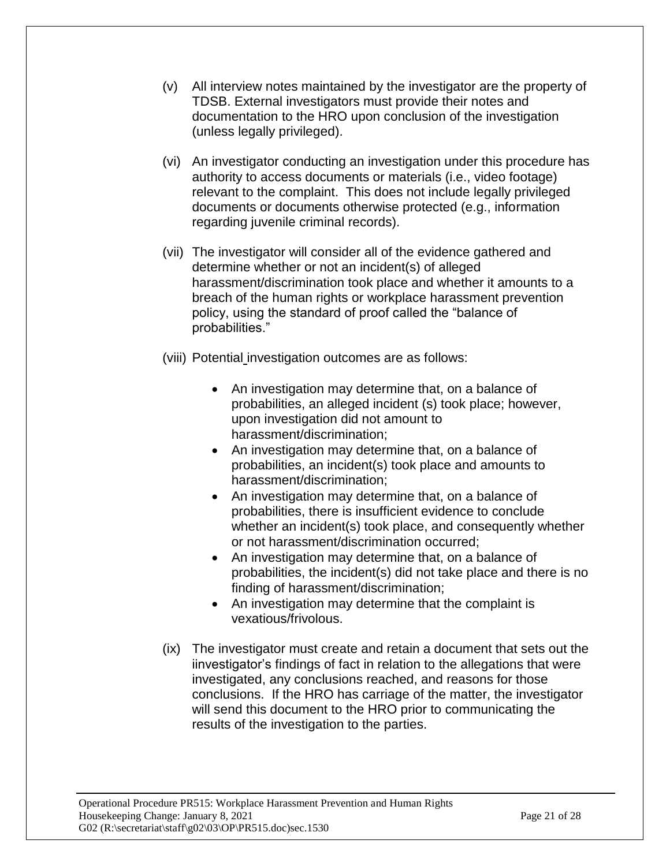- (v) All interview notes maintained by the investigator are the property of TDSB. External investigators must provide their notes and documentation to the HRO upon conclusion of the investigation (unless legally privileged).
- (vi) An investigator conducting an investigation under this procedure has authority to access documents or materials (i.e., video footage) relevant to the complaint. This does not include legally privileged documents or documents otherwise protected (e.g., information regarding juvenile criminal records).
- (vii) The investigator will consider all of the evidence gathered and determine whether or not an incident(s) of alleged harassment/discrimination took place and whether it amounts to a breach of the human rights or workplace harassment prevention policy, using the standard of proof called the "balance of probabilities."
- (viii) Potential investigation outcomes are as follows:
	- An investigation may determine that, on a balance of probabilities, an alleged incident (s) took place; however, upon investigation did not amount to harassment/discrimination;
	- An investigation may determine that, on a balance of probabilities, an incident(s) took place and amounts to harassment/discrimination;
	- An investigation may determine that, on a balance of probabilities, there is insufficient evidence to conclude whether an incident(s) took place, and consequently whether or not harassment/discrimination occurred;
	- An investigation may determine that, on a balance of probabilities, the incident(s) did not take place and there is no finding of harassment/discrimination;
	- An investigation may determine that the complaint is vexatious/frivolous.
- (ix) The investigator must create and retain a document that sets out the iinvestigator's findings of fact in relation to the allegations that were investigated, any conclusions reached, and reasons for those conclusions. If the HRO has carriage of the matter, the investigator will send this document to the HRO prior to communicating the results of the investigation to the parties.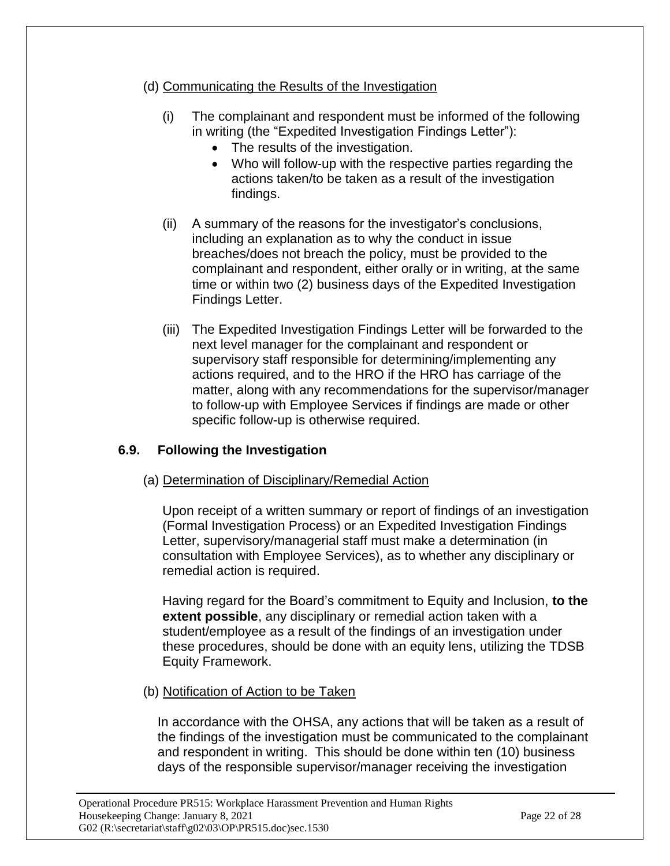- (d) Communicating the Results of the Investigation
	- (i) The complainant and respondent must be informed of the following in writing (the "Expedited Investigation Findings Letter"):
		- The results of the investigation.
		- Who will follow-up with the respective parties regarding the actions taken/to be taken as a result of the investigation findings.
	- (ii) A summary of the reasons for the investigator's conclusions, including an explanation as to why the conduct in issue breaches/does not breach the policy, must be provided to the complainant and respondent, either orally or in writing, at the same time or within two (2) business days of the Expedited Investigation Findings Letter.
	- (iii) The Expedited Investigation Findings Letter will be forwarded to the next level manager for the complainant and respondent or supervisory staff responsible for determining/implementing any actions required, and to the HRO if the HRO has carriage of the matter, along with any recommendations for the supervisor/manager to follow-up with Employee Services if findings are made or other specific follow-up is otherwise required.

# **6.9. Following the Investigation**

(a) Determination of Disciplinary/Remedial Action

Upon receipt of a written summary or report of findings of an investigation (Formal Investigation Process) or an Expedited Investigation Findings Letter, supervisory/managerial staff must make a determination (in consultation with Employee Services), as to whether any disciplinary or remedial action is required.

Having regard for the Board's commitment to Equity and Inclusion, **to the extent possible**, any disciplinary or remedial action taken with a student/employee as a result of the findings of an investigation under these procedures, should be done with an equity lens, utilizing the TDSB Equity Framework.

(b) Notification of Action to be Taken

In accordance with the OHSA, any actions that will be taken as a result of the findings of the investigation must be communicated to the complainant and respondent in writing. This should be done within ten (10) business days of the responsible supervisor/manager receiving the investigation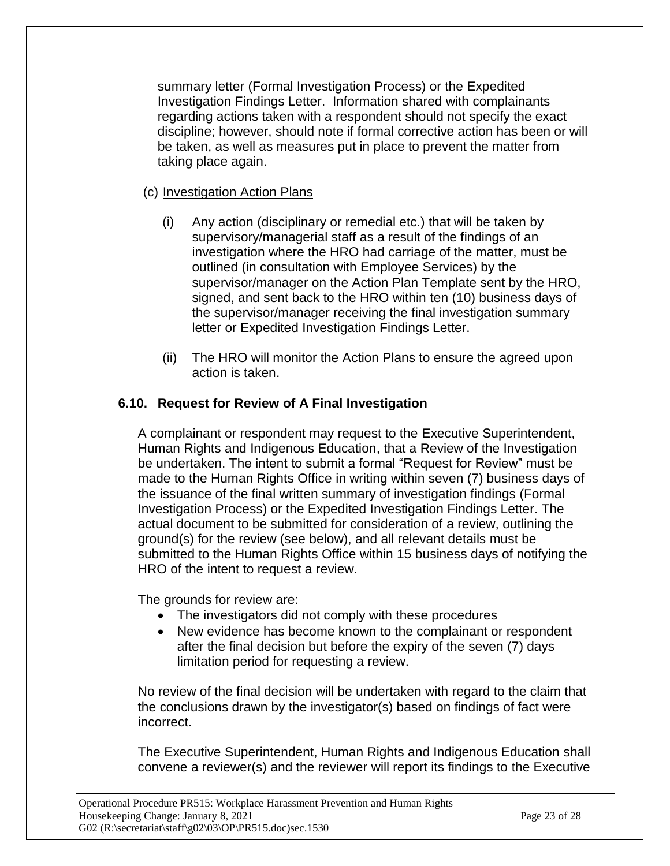summary letter (Formal Investigation Process) or the Expedited Investigation Findings Letter. Information shared with complainants regarding actions taken with a respondent should not specify the exact discipline; however, should note if formal corrective action has been or will be taken, as well as measures put in place to prevent the matter from taking place again.

## (c) Investigation Action Plans

- (i) Any action (disciplinary or remedial etc.) that will be taken by supervisory/managerial staff as a result of the findings of an investigation where the HRO had carriage of the matter, must be outlined (in consultation with Employee Services) by the supervisor/manager on the Action Plan Template sent by the HRO, signed, and sent back to the HRO within ten (10) business days of the supervisor/manager receiving the final investigation summary letter or Expedited Investigation Findings Letter.
- (ii) The HRO will monitor the Action Plans to ensure the agreed upon action is taken.

## **6.10. Request for Review of A Final Investigation**

A complainant or respondent may request to the Executive Superintendent, Human Rights and Indigenous Education, that a Review of the Investigation be undertaken. The intent to submit a formal "Request for Review" must be made to the Human Rights Office in writing within seven (7) business days of the issuance of the final written summary of investigation findings (Formal Investigation Process) or the Expedited Investigation Findings Letter. The actual document to be submitted for consideration of a review, outlining the ground(s) for the review (see below), and all relevant details must be submitted to the Human Rights Office within 15 business days of notifying the HRO of the intent to request a review.

The grounds for review are:

- The investigators did not comply with these procedures
- New evidence has become known to the complainant or respondent after the final decision but before the expiry of the seven (7) days limitation period for requesting a review.

No review of the final decision will be undertaken with regard to the claim that the conclusions drawn by the investigator(s) based on findings of fact were incorrect.

The Executive Superintendent, Human Rights and Indigenous Education shall convene a reviewer(s) and the reviewer will report its findings to the Executive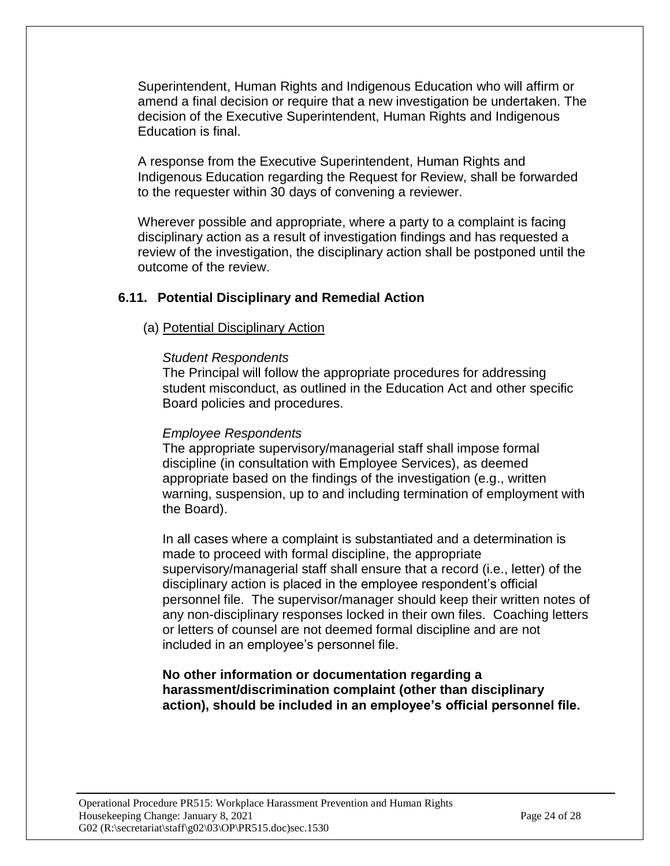Superintendent, Human Rights and Indigenous Education who will affirm or amend a final decision or require that a new investigation be undertaken. The decision of the Executive Superintendent, Human Rights and Indigenous Education is final.

A response from the Executive Superintendent, Human Rights and Indigenous Education regarding the Request for Review, shall be forwarded to the requester within 30 days of convening a reviewer.

Wherever possible and appropriate, where a party to a complaint is facing disciplinary action as a result of investigation findings and has requested a review of the investigation, the disciplinary action shall be postponed until the outcome of the review.

## **6.11. Potential Disciplinary and Remedial Action**

### (a) Potential Disciplinary Action

#### *Student Respondents*

The Principal will follow the appropriate procedures for addressing student misconduct, as outlined in the Education Act and other specific Board policies and procedures.

#### *Employee Respondents*

The appropriate supervisory/managerial staff shall impose formal discipline (in consultation with Employee Services), as deemed appropriate based on the findings of the investigation (e.g., written warning, suspension, up to and including termination of employment with the Board).

In all cases where a complaint is substantiated and a determination is made to proceed with formal discipline, the appropriate supervisory/managerial staff shall ensure that a record (i.e., letter) of the disciplinary action is placed in the employee respondent's official personnel file. The supervisor/manager should keep their written notes of any non-disciplinary responses locked in their own files. Coaching letters or letters of counsel are not deemed formal discipline and are not included in an employee's personnel file.

#### **No other information or documentation regarding a harassment/discrimination complaint (other than disciplinary action), should be included in an employee's official personnel file.**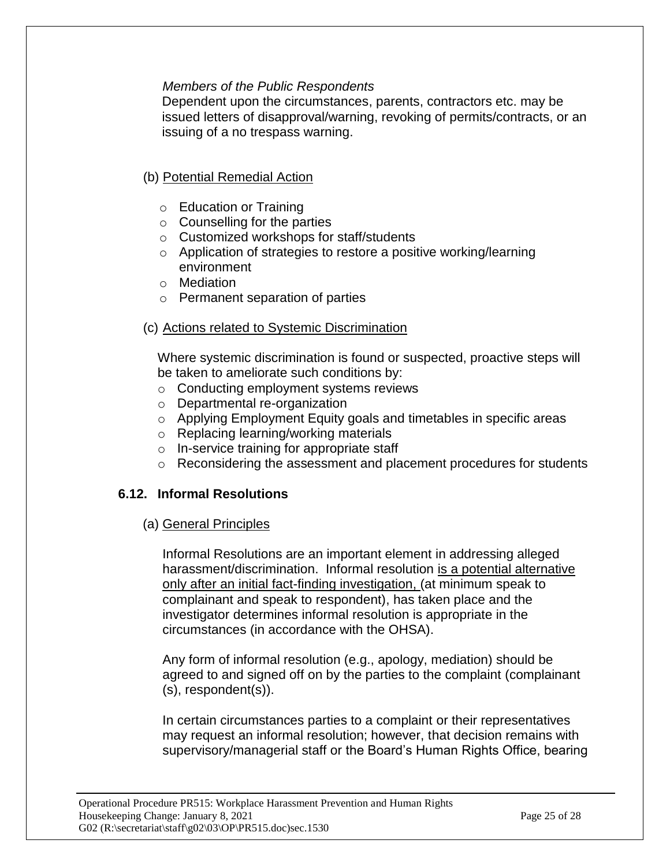### *Members of the Public Respondents*

Dependent upon the circumstances, parents, contractors etc. may be issued letters of disapproval/warning, revoking of permits/contracts, or an issuing of a no trespass warning.

## (b) Potential Remedial Action

- o Education or Training
- o Counselling for the parties
- o Customized workshops for staff/students
- o Application of strategies to restore a positive working/learning environment
- o Mediation
- o Permanent separation of parties

## (c) Actions related to Systemic Discrimination

Where systemic discrimination is found or suspected, proactive steps will be taken to ameliorate such conditions by:

- o Conducting employment systems reviews
- o Departmental re-organization
- o Applying Employment Equity goals and timetables in specific areas
- o Replacing learning/working materials
- o In-service training for appropriate staff
- o Reconsidering the assessment and placement procedures for students

## **6.12. Informal Resolutions**

### (a) General Principles

Informal Resolutions are an important element in addressing alleged harassment/discrimination. Informal resolution is a potential alternative only after an initial fact-finding investigation, (at minimum speak to complainant and speak to respondent), has taken place and the investigator determines informal resolution is appropriate in the circumstances (in accordance with the OHSA).

Any form of informal resolution (e.g., apology, mediation) should be agreed to and signed off on by the parties to the complaint (complainant (s), respondent(s)).

In certain circumstances parties to a complaint or their representatives may request an informal resolution; however, that decision remains with supervisory/managerial staff or the Board's Human Rights Office, bearing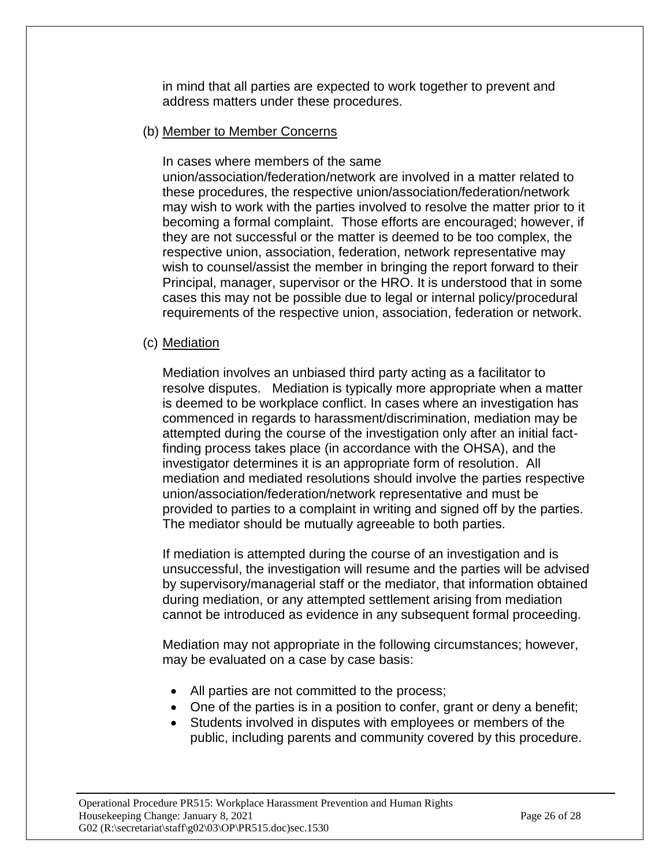in mind that all parties are expected to work together to prevent and address matters under these procedures.

### (b) Member to Member Concerns

In cases where members of the same

union/association/federation/network are involved in a matter related to these procedures, the respective union/association/federation/network may wish to work with the parties involved to resolve the matter prior to it becoming a formal complaint. Those efforts are encouraged; however, if they are not successful or the matter is deemed to be too complex, the respective union, association, federation, network representative may wish to counsel/assist the member in bringing the report forward to their Principal, manager, supervisor or the HRO. It is understood that in some cases this may not be possible due to legal or internal policy/procedural requirements of the respective union, association, federation or network.

### (c) Mediation

Mediation involves an unbiased third party acting as a facilitator to resolve disputes. Mediation is typically more appropriate when a matter is deemed to be workplace conflict. In cases where an investigation has commenced in regards to harassment/discrimination, mediation may be attempted during the course of the investigation only after an initial factfinding process takes place (in accordance with the OHSA), and the investigator determines it is an appropriate form of resolution. All mediation and mediated resolutions should involve the parties respective union/association/federation/network representative and must be provided to parties to a complaint in writing and signed off by the parties. The mediator should be mutually agreeable to both parties.

If mediation is attempted during the course of an investigation and is unsuccessful, the investigation will resume and the parties will be advised by supervisory/managerial staff or the mediator, that information obtained during mediation, or any attempted settlement arising from mediation cannot be introduced as evidence in any subsequent formal proceeding.

Mediation may not appropriate in the following circumstances; however, may be evaluated on a case by case basis:

- All parties are not committed to the process;
- One of the parties is in a position to confer, grant or deny a benefit;
- Students involved in disputes with employees or members of the public, including parents and community covered by this procedure.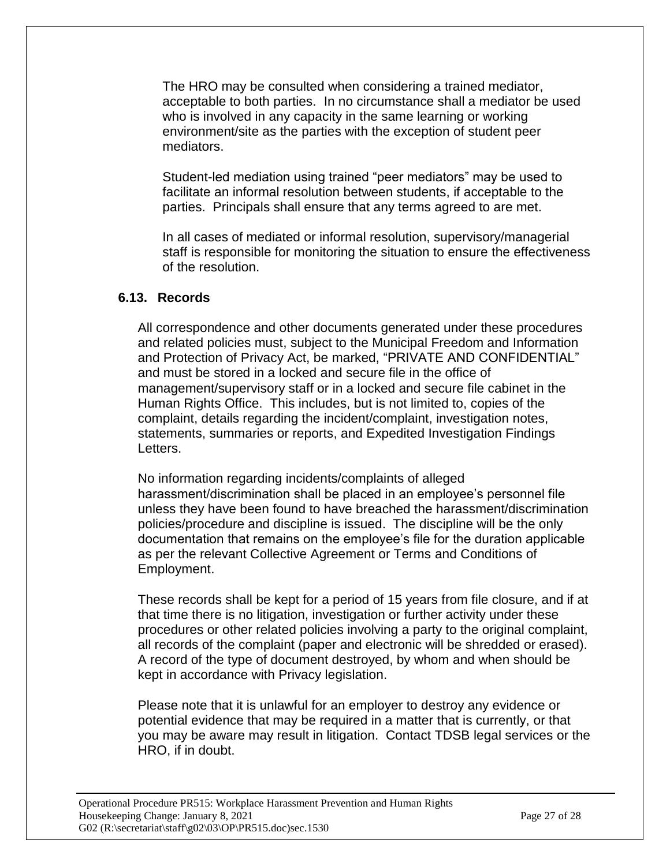The HRO may be consulted when considering a trained mediator, acceptable to both parties. In no circumstance shall a mediator be used who is involved in any capacity in the same learning or working environment/site as the parties with the exception of student peer mediators.

Student-led mediation using trained "peer mediators" may be used to facilitate an informal resolution between students, if acceptable to the parties. Principals shall ensure that any terms agreed to are met.

In all cases of mediated or informal resolution, supervisory/managerial staff is responsible for monitoring the situation to ensure the effectiveness of the resolution.

## **6.13. Records**

All correspondence and other documents generated under these procedures and related policies must, subject to the Municipal Freedom and Information and Protection of Privacy Act, be marked, "PRIVATE AND CONFIDENTIAL" and must be stored in a locked and secure file in the office of management/supervisory staff or in a locked and secure file cabinet in the Human Rights Office. This includes, but is not limited to, copies of the complaint, details regarding the incident/complaint, investigation notes, statements, summaries or reports, and Expedited Investigation Findings Letters.

No information regarding incidents/complaints of alleged harassment/discrimination shall be placed in an employee's personnel file unless they have been found to have breached the harassment/discrimination policies/procedure and discipline is issued. The discipline will be the only documentation that remains on the employee's file for the duration applicable as per the relevant Collective Agreement or Terms and Conditions of Employment.

These records shall be kept for a period of 15 years from file closure, and if at that time there is no litigation, investigation or further activity under these procedures or other related policies involving a party to the original complaint, all records of the complaint (paper and electronic will be shredded or erased). A record of the type of document destroyed, by whom and when should be kept in accordance with Privacy legislation.

Please note that it is unlawful for an employer to destroy any evidence or potential evidence that may be required in a matter that is currently, or that you may be aware may result in litigation. Contact TDSB legal services or the HRO, if in doubt.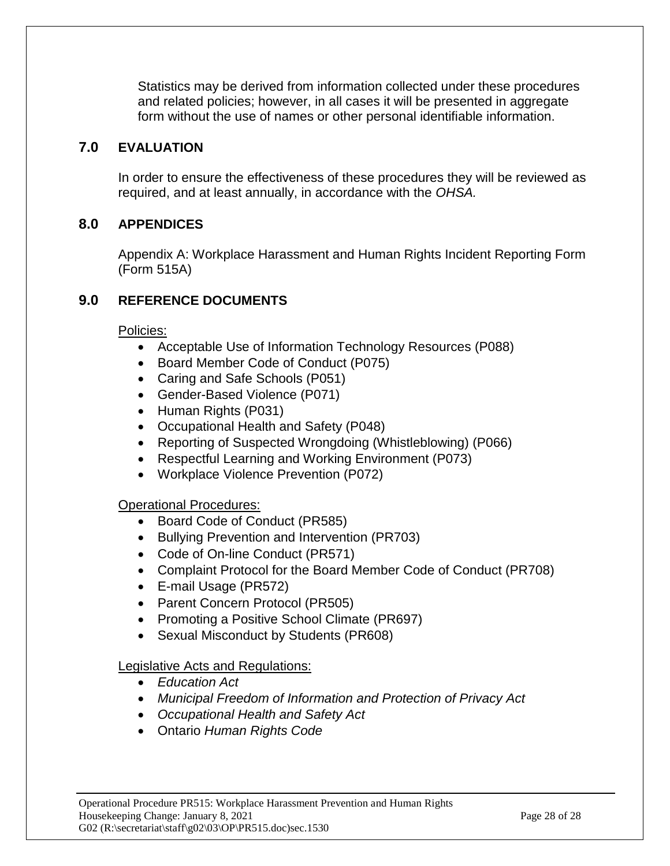Statistics may be derived from information collected under these procedures and related policies; however, in all cases it will be presented in aggregate form without the use of names or other personal identifiable information.

## **7.0 EVALUATION**

In order to ensure the effectiveness of these procedures they will be reviewed as required, and at least annually, in accordance with the *OHSA.*

# **8.0 APPENDICES**

Appendix A: Workplace Harassment and Human Rights Incident Reporting Form (Form 515A)

# **9.0 REFERENCE DOCUMENTS**

Policies:

- Acceptable Use of Information Technology Resources (P088)
- Board Member Code of Conduct (P075)
- Caring and Safe Schools (P051)
- Gender-Based Violence (P071)
- Human Rights (P031)
- Occupational Health and Safety (P048)
- Reporting of Suspected Wrongdoing (Whistleblowing) (P066)
- Respectful Learning and Working Environment (P073)
- Workplace Violence Prevention (P072)

## Operational Procedures:

- Board Code of Conduct (PR585)
- Bullying Prevention and Intervention (PR703)
- Code of On-line Conduct (PR571)
- Complaint Protocol for the Board Member Code of Conduct (PR708)
- E-mail Usage (PR572)
- Parent Concern Protocol (PR505)
- Promoting a Positive School Climate (PR697)
- Sexual Misconduct by Students (PR608)

## Legislative Acts and Regulations:

- *Education Act*
- *Municipal Freedom of Information and Protection of Privacy Act*
- *Occupational Health and Safety Act*
- Ontario *Human Rights Code*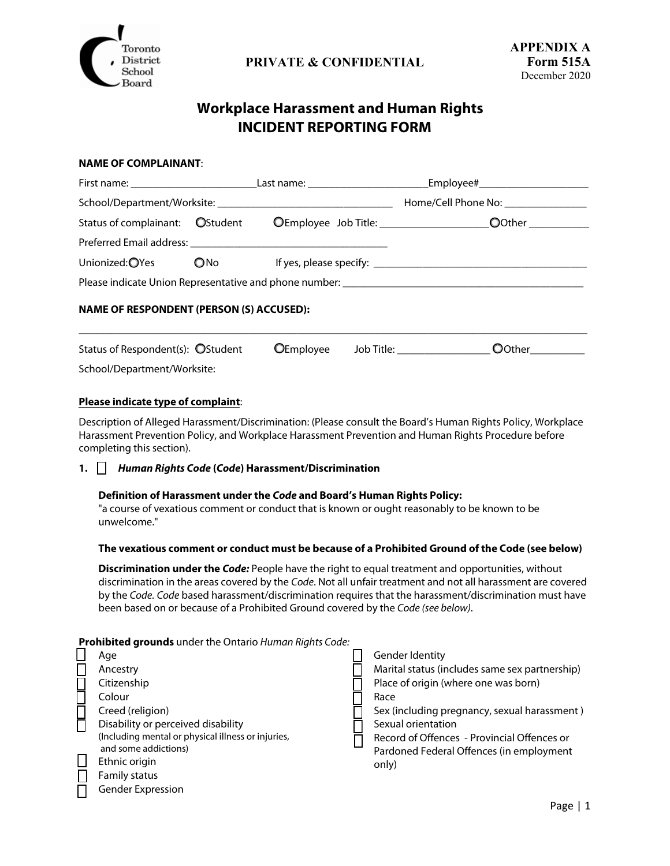

# **Workplace Harassment and Human Rights INCIDENT REPORTING FORM**

#### **NAME OF COMPLAINANT**:

|                                        |               | Home/Cell Phone No: ________________ |
|----------------------------------------|---------------|--------------------------------------|
| Status of complainant: <b>OStudent</b> |               |                                      |
|                                        |               |                                      |
| Unionized: OYes                        | $\bigcirc$ No |                                      |
|                                        |               |                                      |

#### **NAME OF RESPONDENT (PERSON (S) ACCUSED):**

| Status of Respondent(s): OStudent | OEmployee Job Title: | OOther |
|-----------------------------------|----------------------|--------|
|                                   |                      |        |

 $\overline{\phantom{a}}$  , and the contribution of the contribution of the contribution of the contribution of the contribution of the contribution of the contribution of the contribution of the contribution of the contribution of the

#### School/Department/Worksite:

#### **Please indicate type of complaint**:

Description of Alleged Harassment/Discrimination: (Please consult the Board's Human Rights Policy, Workplace Harassment Prevention Policy, and Workplace Harassment Prevention and Human Rights Procedure before completing this section).

#### **1. Human Rights Code (Code) Harassment/Discrimination**

#### **Definition of Harassment under the Code and Board's Human Rights Policy:**

"a course of vexatious comment or conduct that is known or ought reasonably to be known to be unwelcome."

#### **The vexatious comment or conduct must be because of a Prohibited Ground of the Code (see below)**

**Discrimination under the Code:** People have the right to equal treatment and opportunities, without discrimination in the areas covered by the Code. Not all unfair treatment and not all harassment are covered by the Code. Code based harassment/discrimination requires that the harassment/discrimination must have been based on or because of a Prohibited Ground covered by the Code (see below).

#### **Prohibited grounds** under the Ontario Human Rights Code:

|  | Age                                                | Gender Identity                                |
|--|----------------------------------------------------|------------------------------------------------|
|  | Ancestry                                           | Marital status (includes same sex partnership) |
|  | Citizenship                                        | Place of origin (where one was born)           |
|  | Colour                                             | Race                                           |
|  | Creed (religion)                                   | Sex (including pregnancy, sexual harassment)   |
|  | Disability or perceived disability                 | Sexual orientation                             |
|  | (Including mental or physical illness or injuries, | Record of Offences - Provincial Offences or    |
|  | and some addictions)                               | Pardoned Federal Offences (in employment       |
|  | Ethnic origin                                      | only)                                          |
|  | <b>Family status</b>                               |                                                |
|  | Gender Expression                                  |                                                |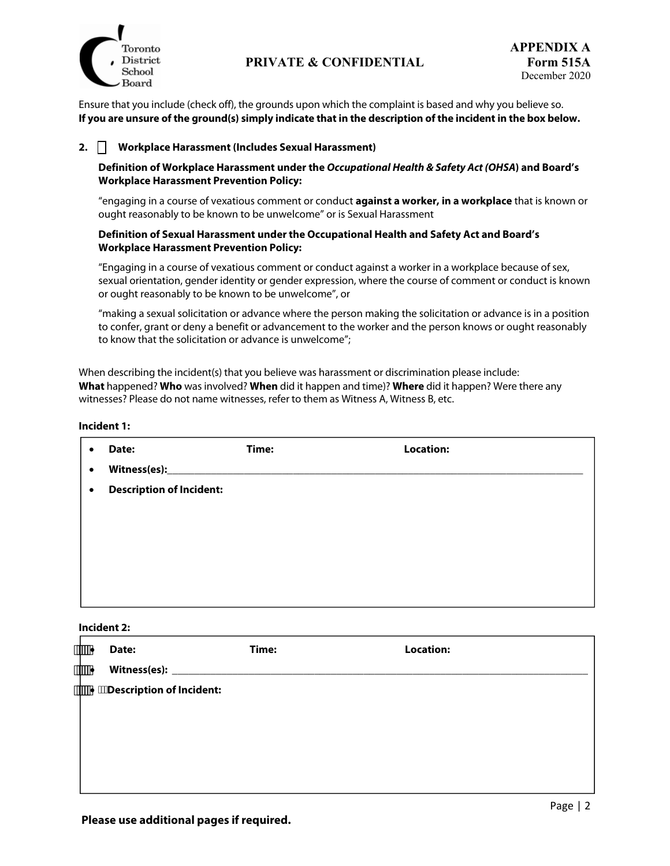

Ensure that you include (check off), the grounds upon which the complaint is based and why you believe so. **If you are unsure of the ground(s) simply indicate that in the description of the incident in the box below.** 

#### **2. Workplace Harassment (Includes Sexual Harassment)**

#### **Definition of Workplace Harassment under the Occupational Health & Safety Act (OHSA) and Board's Workplace Harassment Prevention Policy:**

"engaging in a course of vexatious comment or conduct **against a worker, in a workplace** that is known or ought reasonably to be known to be unwelcome" or is Sexual Harassment

#### **Definition of Sexual Harassment under the Occupational Health and Safety Act and Board's Workplace Harassment Prevention Policy:**

"Engaging in a course of vexatious comment or conduct against a worker in a workplace because of sex, sexual orientation, gender identity or gender expression, where the course of comment or conduct is known or ought reasonably to be known to be unwelcome", or

"making a sexual solicitation or advance where the person making the solicitation or advance is in a position to confer, grant or deny a benefit or advancement to the worker and the person knows or ought reasonably to know that the solicitation or advance is unwelcome";

When describing the incident(s) that you believe was harassment or discrimination please include: **What** happened? **Who** was involved? **When** did it happen and time)? **Where** did it happen? Were there any witnesses? Please do not name witnesses, refer to them as Witness A, Witness B, etc.

**Incident 1:** 

| $\bullet$ | Date:                           | Time: | <b>Location:</b> |
|-----------|---------------------------------|-------|------------------|
| $\bullet$ |                                 |       |                  |
| $\bullet$ | <b>Description of Incident:</b> |       |                  |
|           |                                 |       |                  |
|           |                                 |       |                  |
|           |                                 |       |                  |
|           |                                 |       |                  |
|           |                                 |       |                  |

**Incident 2:**

| #### | Date: | Time: | <b>Location:</b> |  |
|------|-------|-------|------------------|--|
| #### |       |       |                  |  |
|      |       |       |                  |  |
|      |       |       |                  |  |
|      |       |       |                  |  |
|      |       |       |                  |  |
|      |       |       |                  |  |
|      |       |       |                  |  |